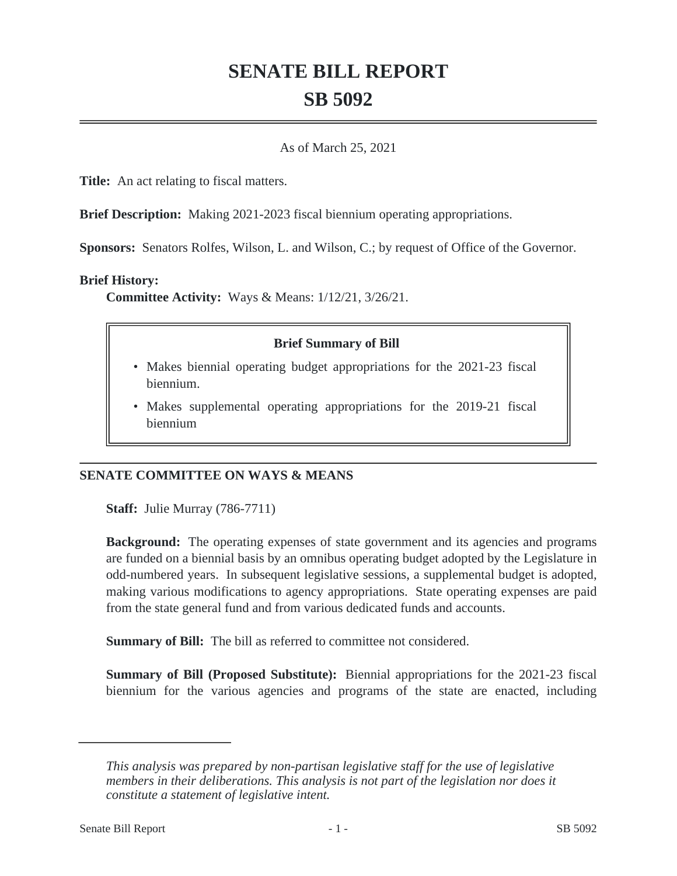# **SENATE BILL REPORT SB 5092**

### As of March 25, 2021

**Title:** An act relating to fiscal matters.

**Brief Description:** Making 2021-2023 fiscal biennium operating appropriations.

**Sponsors:** Senators Rolfes, Wilson, L. and Wilson, C.; by request of Office of the Governor.

#### **Brief History:**

**Committee Activity:** Ways & Means: 1/12/21, 3/26/21.

## **Brief Summary of Bill**

- Makes biennial operating budget appropriations for the 2021-23 fiscal biennium.
- Makes supplemental operating appropriations for the 2019-21 fiscal biennium

## **SENATE COMMITTEE ON WAYS & MEANS**

**Staff:** Julie Murray (786-7711)

**Background:** The operating expenses of state government and its agencies and programs are funded on a biennial basis by an omnibus operating budget adopted by the Legislature in odd-numbered years. In subsequent legislative sessions, a supplemental budget is adopted, making various modifications to agency appropriations. State operating expenses are paid from the state general fund and from various dedicated funds and accounts.

**Summary of Bill:** The bill as referred to committee not considered.

**Summary of Bill (Proposed Substitute):** Biennial appropriations for the 2021-23 fiscal biennium for the various agencies and programs of the state are enacted, including

*This analysis was prepared by non-partisan legislative staff for the use of legislative members in their deliberations. This analysis is not part of the legislation nor does it constitute a statement of legislative intent.*